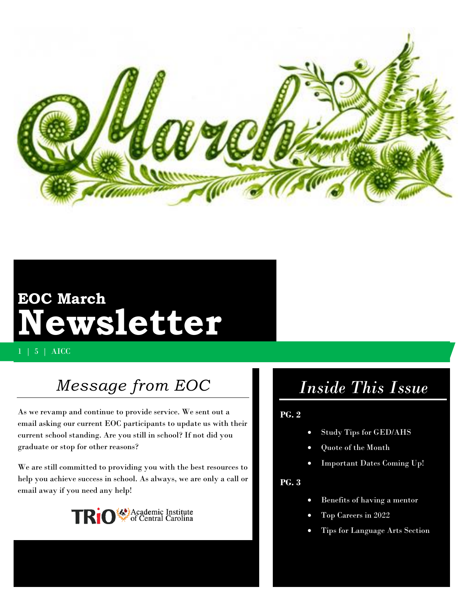

# **EOC March Newsletter**

1 | 5 | AICC

## *Message from EOC*

As we revamp and continue to provide service. We sent out a email asking our current EOC participants to update us with their current school standing. Are you still in school? If not did you graduate or stop for other reasons?

We are still committed to providing you with the best resources to help you achieve success in school. As always, we are only a call or email away if you need any help!



## *Inside This Issue*

#### **PG. 2**

- Study Tips for GED/AHS
- Quote of the Month
- Important Dates Coming Up!

#### **PG. 3**

- Benefits of having a mentor
- Top Careers in 2022
- Tips for Language Arts Section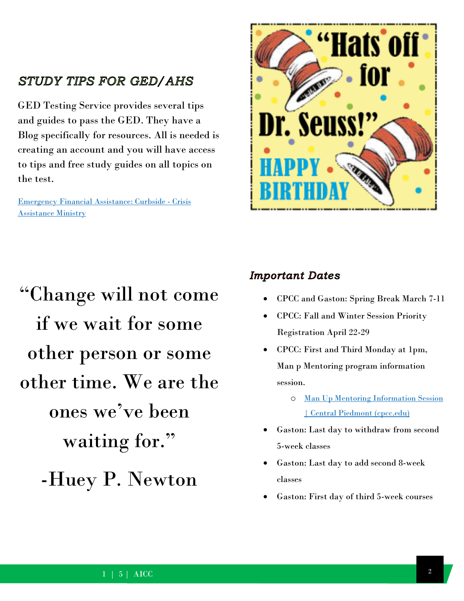### **STUDY TIPS FOR GED/AHS**

GED Testing Service provides several tips and guides to pass the GED. They have a Blog specifically for resources. All is needed is creating an account and you will have access to tips and free study guides on all topics on the test.

Emergency Financial [Assistance: Curbside -](https://www.crisisassistance.org/programs/basic-needs/emergency-financial-assistance/) Crisis [Assistance Ministry](https://www.crisisassistance.org/programs/basic-needs/emergency-financial-assistance/)



"Change will not come if we wait for some other person or some other time. We are the ones we've been waiting for." -Huey P. Newton

#### **Important Dates**

- CPCC and Gaston: Spring Break March 7-11
- CPCC: Fall and Winter Session Priority Registration April 22-29
- CPCC: First and Third Monday at 1pm, Man p Mentoring program information session.
	- o [Man Up Mentoring Information Session](https://www.cpcc.edu/events/man-mentoring-information-session)  [| Central Piedmont \(cpcc.edu\)](https://www.cpcc.edu/events/man-mentoring-information-session)
- Gaston: Last day to withdraw from second 5-week classes
- Gaston: Last day to add second 8-week classes
- Gaston: First day of third 5-week courses